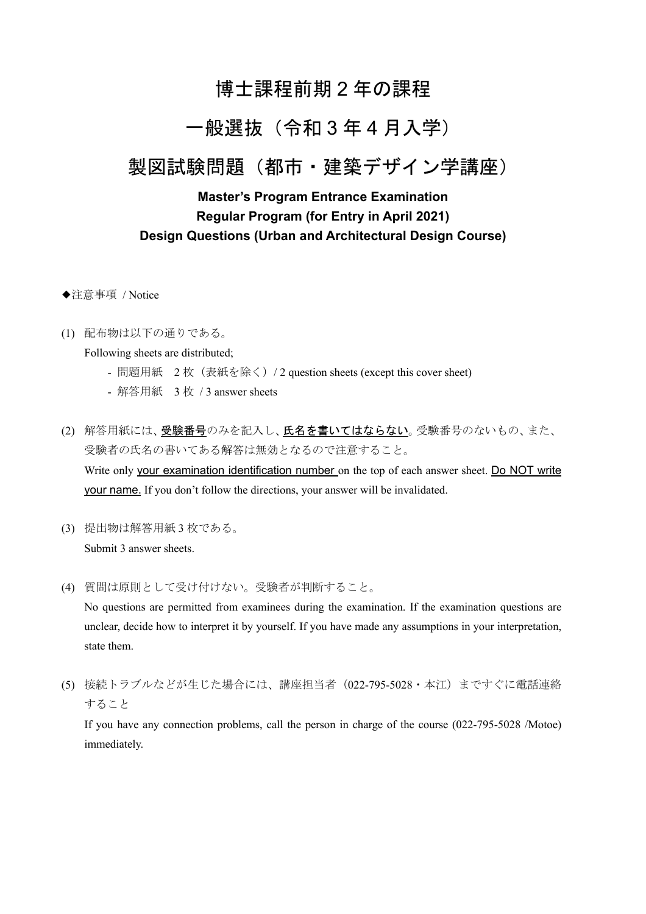# 博士課程前期 2 年の課程

# 一般選抜(令和 3 年 4 月入学)

# 製図試験問題(都市・建築デザイン学講座)

### **Master's Program Entrance Examination Regular Program (for Entry in April 2021) Design Questions (Urban and Architectural Design Course)**

- ◆注意事項 / Notice
- (1) 配布物は以下の通りである。

Following sheets are distributed;

- 問題用紙 2枚 (表紙を除く) / 2 question sheets (except this cover sheet)
- 解答用紙 3 枚 / 3 answer sheets
- (2) 解答用紙には、受験番号のみを記入し、氏名を書いてはならない。受験番号のないもの、また、 受験者の氏名の書いてある解答は無効となるので注意すること。 Write only your examination identification number on the top of each answer sheet. Do NOT write your name. If you don't follow the directions, your answer will be invalidated.
- (3) 提出物は解答用紙 3 枚である。 Submit 3 answer sheets.
- (4) 質問は原則として受け付けない。受験者が判断すること。

No questions are permitted from examinees during the examination. If the examination questions are unclear, decide how to interpret it by yourself. If you have made any assumptions in your interpretation, state them.

(5) 接続トラブルなどが生じた場合には、講座担当者(022-795-5028・本江)まですぐに電話連絡 すること

If you have any connection problems, call the person in charge of the course (022-795-5028 /Motoe) immediately.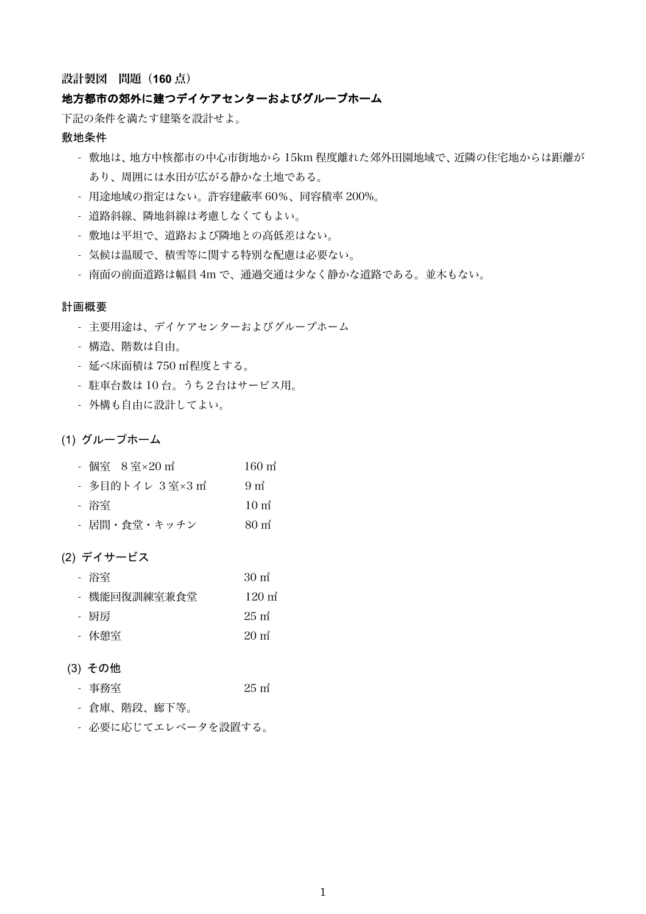#### 設計製図 問題(**160** 点)

#### 地方都市の郊外に建つデイケアセンターおよびグループホーム

下記の条件を満たす建築を設計せよ。

#### 敷地条件

- 敷地は、地方中核都市の中心市街地から 15km 程度離れた郊外田園地域で、近隣の住宅地からは距離が あり、周囲には水田が広がる静かな土地である。
- 用途地域の指定はない。許容建蔽率 60%、同容積率 200%。
- 道路斜線、隣地斜線は考慮しなくてもよい。
- 敷地は平坦で、道路および隣地との高低差はない。
- 気候は温暖で、積雪等に関する特別な配慮は必要ない。
- 南面の前面道路は幅員 4m で、通過交通は少なく静かな道路である。並木もない。

#### 計画概要

- 主要用途は、デイケアセンターおよびグループホーム
- 構造、階数は自由。
- 延べ床面積は 750 ㎡程度とする。
- 駐車台数は 10 台。うち2台はサービス用。
- 外構も自由に設計してよい。

#### (1) グループホーム

| - 個室 8室×20 m <sup>2</sup> | $160 \text{ m}^2$          |
|---------------------------|----------------------------|
| - 多目的トイレ 3 室×3 m゚         | 9 <sub>m<sup>2</sup></sub> |
| - 浴室                      | $10 \text{ m}^2$           |
| - 居間・食堂・キッチン              | $80 \text{ m}^2$           |

#### (2) デイサービス

| - 浴室         | $30 \text{ m}^2$  |
|--------------|-------------------|
| - 機能回復訓練室兼食堂 | $120 \text{ m}^2$ |
| - 厨房         | $25 \text{ m}^2$  |
| - 休憩室        | $20 \text{ m}^2$  |

#### (3) その他

- 事務室 25 ㎡
- 倉庫、階段、廊下等。
- 必要に応じてエレベータを設置する。